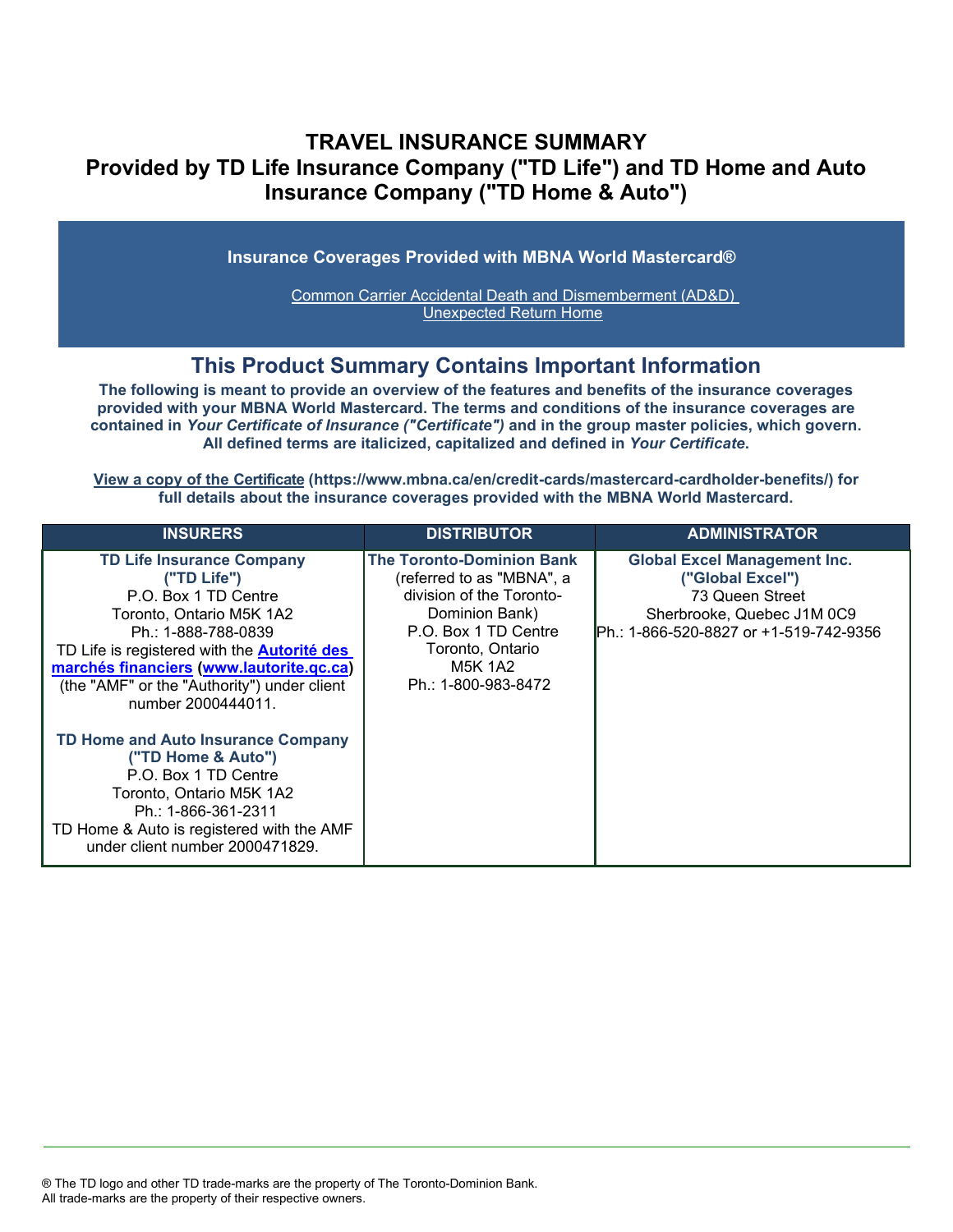## **TRAVEL INSURANCE SUMMARY Provided by TD Life Insurance Company ("TD Life") and TD Home and Auto Insurance Company ("TD Home & Auto")**

**Insurance Coverages Provided with MBNA World Mastercard®**

[Common Carrier Accidental Death and Dismemberment \(AD&D\)](#page-3-0)  [Unexpected Return Home](#page-4-0)

## **This Product Summary Contains Important Information**

**The following is meant to provide an overview of the features and benefits of the insurance coverages provided with your MBNA World Mastercard. The terms and conditions of the insurance coverages are contained in** *Your Certificate of Insurance ("Certificate")* **and in the group master policies, which govern. All defined terms are italicized, capitalized and defined in** *Your Certificate***.**

**[View a copy of the Certificate](https://www.mbna.ca/en/credit-cards/mastercard-cardholder-benefits/) (https://www.mbna.ca/en/credit-cards/mastercard-cardholder-benefits/) for full details about the insurance coverages provided with the MBNA World Mastercard.**

| <b>INSURERS</b>                                                                                                                                                                                                                                                                                   | <b>DISTRIBUTOR</b>                                                                                                                                                                        | <b>ADMINISTRATOR</b>                                                                                                                               |
|---------------------------------------------------------------------------------------------------------------------------------------------------------------------------------------------------------------------------------------------------------------------------------------------------|-------------------------------------------------------------------------------------------------------------------------------------------------------------------------------------------|----------------------------------------------------------------------------------------------------------------------------------------------------|
| <b>TD Life Insurance Company</b><br>("TD Life")<br>P.O. Box 1 TD Centre<br>Toronto, Ontario M5K 1A2<br>Ph.: 1-888-788-0839<br>TD Life is registered with the <b>Autorité des</b><br>marchés financiers (www.lautorite.qc.ca)<br>(the "AMF" or the "Authority") under client<br>number 2000444011. | <b>The Toronto-Dominion Bank</b><br>(referred to as "MBNA", a<br>division of the Toronto-<br>Dominion Bank)<br>P.O. Box 1 TD Centre<br>Toronto, Ontario<br>M5K 1A2<br>Ph.: 1-800-983-8472 | <b>Global Excel Management Inc.</b><br>("Global Excel")<br>73 Queen Street<br>Sherbrooke, Quebec J1M 0C9<br>Ph.: 1-866-520-8827 or +1-519-742-9356 |
| TD Home and Auto Insurance Company<br>("TD Home & Auto")<br>P.O. Box 1 TD Centre<br>Toronto, Ontario M5K 1A2<br>Ph.: 1-866-361-2311<br>TD Home & Auto is registered with the AMF<br>under client number 2000471829.                                                                               |                                                                                                                                                                                           |                                                                                                                                                    |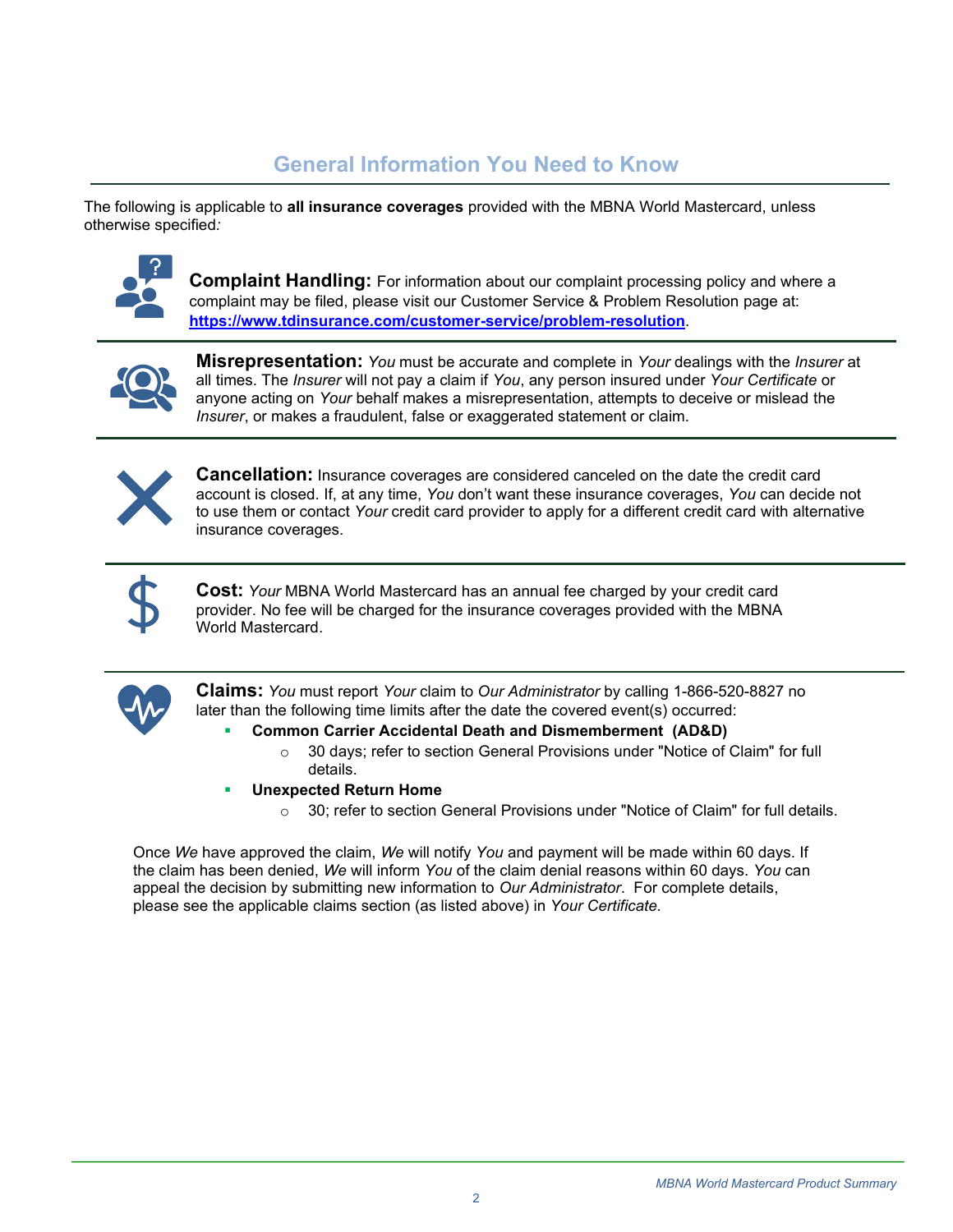# **General Information You Need to Know**

The following is applicable to **all insurance coverages** provided with the MBNA World Mastercard, unless otherwise specified*:*



**Complaint Handling:** For information about our complaint processing policy and where a complaint may be filed, please visit our Customer Service & Problem Resolution page at: **<https://www.tdinsurance.com/customer-service/problem-resolution>**.



**Misrepresentation:** *You* must be accurate and complete in *Your* dealings with the *Insurer* at all times. The *Insurer* will not pay a claim if *You*, any person insured under *Your Certificate* or anyone acting on *Your* behalf makes a misrepresentation, attempts to deceive or mislead the *Insurer*, or makes a fraudulent, false or exaggerated statement or claim.



**Cancellation:** Insurance coverages are considered canceled on the date the credit card account is closed. If, at any time, *You* don't want these insurance coverages, *You* can decide not to use them or contact *Your* credit card provider to apply for a different credit card with alternative insurance coverages.



**Cost:** *Your* MBNA World Mastercard has an annual fee charged by your credit card provider. No fee will be charged for the insurance coverages provided with the MBNA World Mastercard.



**Claims:** *You* must report *Your* claim to *Our Administrator* by calling 1-866-520-8827 no later than the following time limits after the date the covered event(s) occurred:

- **Common Carrier Accidental Death and Dismemberment (AD&D)** 
	- $\circ$  30 days; refer to section General Provisions under "Notice of Claim" for full details.
- **Unexpected Return Home** 
	- $\circ$  30; refer to section General Provisions under "Notice of Claim" for full details.

Once *We* have approved the claim, *We* will notify *You* and payment will be made within 60 days. If the claim has been denied, *We* will inform *You* of the claim denial reasons within 60 days. *You* can appeal the decision by submitting new information to *Our Administrator*. For complete details, please see the applicable claims section (as listed above) in *Your Certificate.*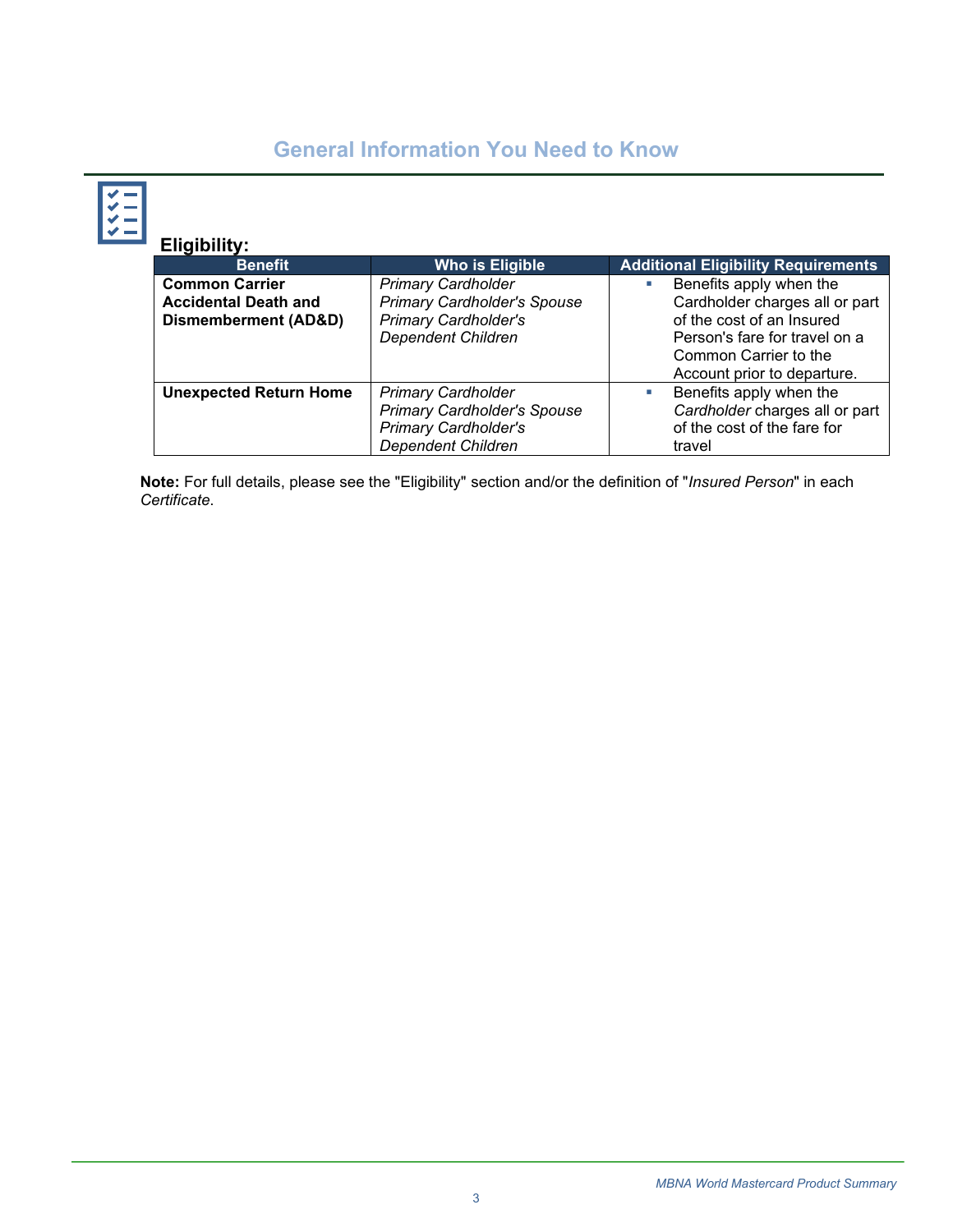# **General Information You Need to Know**

| $\frac{1}{1}$ | <b>Eligibility:</b>                                                          |                                                                                                                             |                                                                                                                                                                                       |
|---------------|------------------------------------------------------------------------------|-----------------------------------------------------------------------------------------------------------------------------|---------------------------------------------------------------------------------------------------------------------------------------------------------------------------------------|
|               | <b>Benefit</b>                                                               | <b>Who is Eligible</b>                                                                                                      | <b>Additional Eligibility Requirements</b>                                                                                                                                            |
|               | <b>Common Carrier</b><br><b>Accidental Death and</b><br>Dismemberment (AD&D) | <b>Primary Cardholder</b><br><b>Primary Cardholder's Spouse</b><br><b>Primary Cardholder's</b><br><b>Dependent Children</b> | Benefits apply when the<br>a.<br>Cardholder charges all or part<br>of the cost of an Insured<br>Person's fare for travel on a<br>Common Carrier to the<br>Account prior to departure. |
|               | <b>Unexpected Return Home</b>                                                | <b>Primary Cardholder</b><br><b>Primary Cardholder's Spouse</b><br><b>Primary Cardholder's</b><br><b>Dependent Children</b> | Benefits apply when the<br>a.<br>Cardholder charges all or part<br>of the cost of the fare for<br>travel                                                                              |

**Note:** For full details, please see the "Eligibility" section and/or the definition of "*Insured Person*" in each *Certificate*.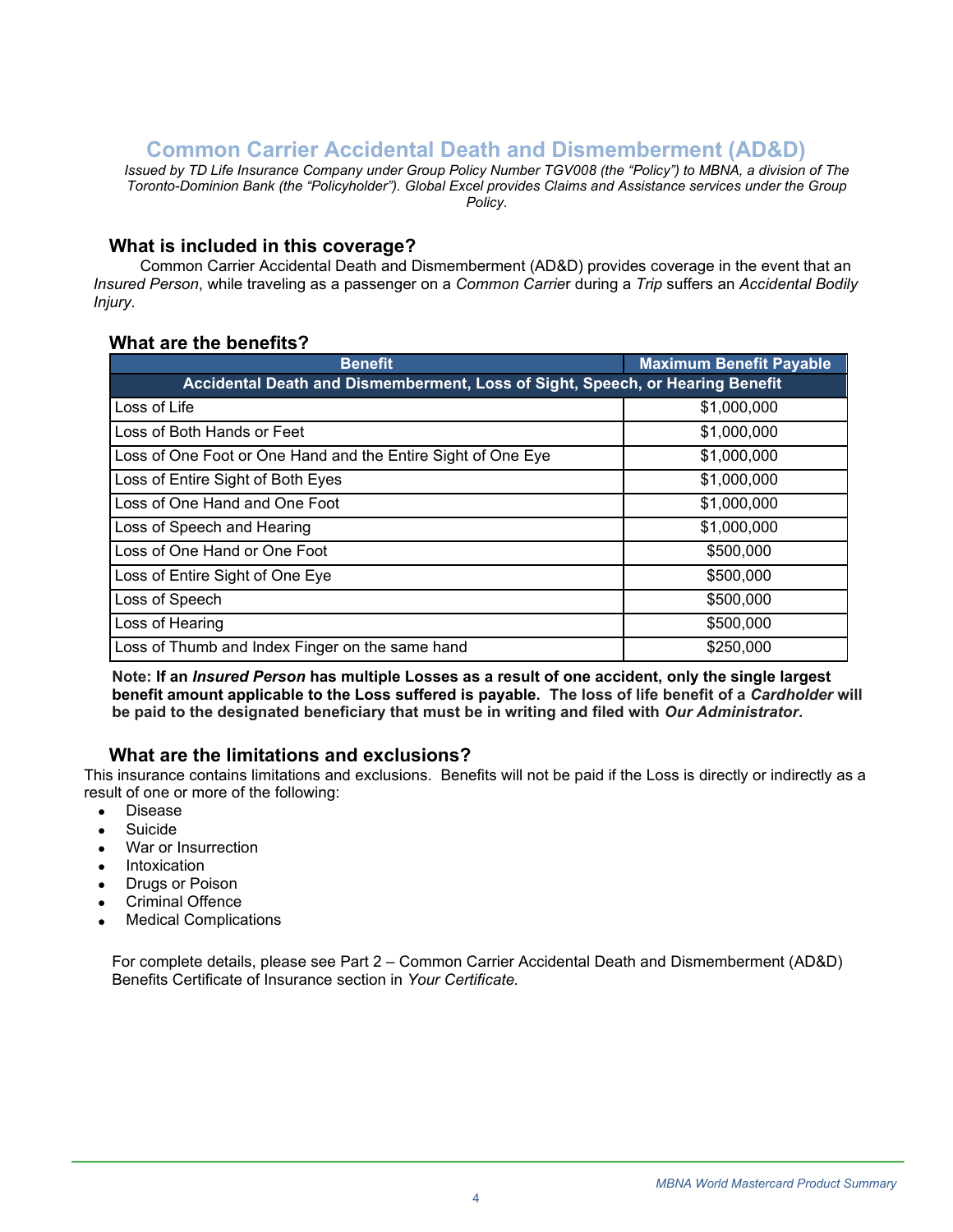## **Common Carrier Accidental Death and Dismemberment (AD&D)**

<span id="page-3-0"></span>*Issued by TD Life Insurance Company under Group Policy Number TGV008 (the "Policy") to MBNA, a division of The Toronto-Dominion Bank (the "Policyholder"). Global Excel provides Claims and Assistance services under the Group Policy.*

#### **What is included in this coverage?**

Common Carrier Accidental Death and Dismemberment (AD&D) provides coverage in the event that an *Insured Person*, while traveling as a passenger on a *Common Carrie*r during a *Trip* suffers an *Accidental Bodily Injury.*

### **What are the benefits?**

| <b>Benefit</b>                                                                | <b>Maximum Benefit Payable</b> |  |  |
|-------------------------------------------------------------------------------|--------------------------------|--|--|
| Accidental Death and Dismemberment, Loss of Sight, Speech, or Hearing Benefit |                                |  |  |
| Loss of Life                                                                  | \$1,000,000                    |  |  |
| Loss of Both Hands or Feet                                                    | \$1,000,000                    |  |  |
| Loss of One Foot or One Hand and the Entire Sight of One Eye                  | \$1,000,000                    |  |  |
| Loss of Entire Sight of Both Eyes                                             | \$1,000,000                    |  |  |
| Loss of One Hand and One Foot                                                 | \$1,000,000                    |  |  |
| Loss of Speech and Hearing                                                    | \$1,000,000                    |  |  |
| Loss of One Hand or One Foot                                                  | \$500,000                      |  |  |
| Loss of Entire Sight of One Eye                                               | \$500,000                      |  |  |
| Loss of Speech                                                                | \$500,000                      |  |  |
| Loss of Hearing                                                               | \$500,000                      |  |  |
| Loss of Thumb and Index Finger on the same hand                               | \$250,000                      |  |  |

**Note: If an** *Insured Person* **has multiple Losses as a result of one accident, only the single largest benefit amount applicable to the Loss suffered is payable. The loss of life benefit of a** *Cardholder* **will be paid to the designated beneficiary that must be in writing and filed with** *Our Administrator***.** 

### **What are the limitations and exclusions?**

This insurance contains limitations and exclusions. Benefits will not be paid if the Loss is directly or indirectly as a result of one or more of the following:

- Disease
- Suicide
- War or Insurrection
- **Intoxication**
- Drugs or Poison
- Criminal Offence
- **Medical Complications**

For complete details, please see Part 2 – Common Carrier Accidental Death and Dismemberment (AD&D) Benefits Certificate of Insurance section in *Your Certificate.*